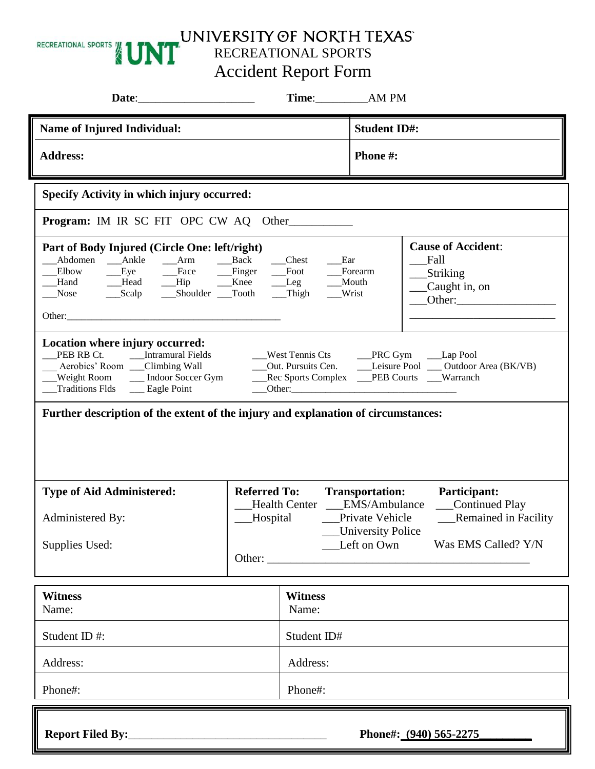

UNIVERSITY OF NORTH TEXAST

Accident Report Form

|                                                                                                                                                                                                                                                                                                                                                                             |                                             |                                |             | Time: AM PM                                    |                                                                           |  |  |  |
|-----------------------------------------------------------------------------------------------------------------------------------------------------------------------------------------------------------------------------------------------------------------------------------------------------------------------------------------------------------------------------|---------------------------------------------|--------------------------------|-------------|------------------------------------------------|---------------------------------------------------------------------------|--|--|--|
| <b>Name of Injured Individual:</b>                                                                                                                                                                                                                                                                                                                                          |                                             |                                |             | <b>Student ID#:</b>                            |                                                                           |  |  |  |
| <b>Address:</b>                                                                                                                                                                                                                                                                                                                                                             |                                             |                                |             | <b>Phone #:</b>                                |                                                                           |  |  |  |
| <b>Specify Activity in which injury occurred:</b>                                                                                                                                                                                                                                                                                                                           |                                             |                                |             |                                                |                                                                           |  |  |  |
| <b>Program:</b> IM IR SC FIT OPC CW AQ Other                                                                                                                                                                                                                                                                                                                                |                                             |                                |             |                                                |                                                                           |  |  |  |
| Part of Body Injured (Circle One: left/right)<br>Abdomen Ankle Arm Back<br>Eye Face Finger Foot<br>Elbow<br>Hand Head Hip Knee Leg Mouth<br>Nose<br>___Scalp ____Shoulder ___Tooth                                                                                                                                                                                          |                                             | $\qquad$ Chest<br>$\_\_$ Thigh | Ex<br>Wrist | Forearm                                        | <b>Cause of Accident:</b><br>Fall<br>_Striking<br>Caught in, on<br>Other: |  |  |  |
| Location where injury occurred:<br>__Intramural Fields<br>PEB RB Ct.<br>__West Tennis Cts _____PRC Gym ____Lap Pool<br>__Out. Pursuits Cen. _______Leisure Pool ____Outdoor Area (BK/VB)<br>Aerobics' Room __Climbing Wall<br>__Rec Sports Complex ___PEB Courts ___Warranch<br>Weight Room ______ Indoor Soccer Gym<br><b>Traditions Flds</b><br>$\frac{1}{2}$ Eagle Point |                                             |                                |             |                                                |                                                                           |  |  |  |
| Further description of the extent of the injury and explanation of circumstances:                                                                                                                                                                                                                                                                                           |                                             |                                |             |                                                |                                                                           |  |  |  |
| <b>Type of Aid Administered:</b>                                                                                                                                                                                                                                                                                                                                            | <b>Referred To:</b><br><b>Health Center</b> |                                |             | <b>Transportation:</b><br><b>EMS/Ambulance</b> | Participant:<br>Continued Play                                            |  |  |  |
| Administered By:                                                                                                                                                                                                                                                                                                                                                            | Hospital                                    |                                |             | Private Vehicle<br><b>University Police</b>    | <b>Remained in Facility</b>                                               |  |  |  |
| Supplies Used:                                                                                                                                                                                                                                                                                                                                                              | Other:                                      |                                | Left on Own | Was EMS Called? Y/N                            |                                                                           |  |  |  |
| <b>Witness</b><br>Name:                                                                                                                                                                                                                                                                                                                                                     |                                             | <b>Witness</b><br>Name:        |             |                                                |                                                                           |  |  |  |
| Student ID#:                                                                                                                                                                                                                                                                                                                                                                |                                             | Student ID#                    |             |                                                |                                                                           |  |  |  |
| Address:                                                                                                                                                                                                                                                                                                                                                                    |                                             | Address:                       |             |                                                |                                                                           |  |  |  |
| Phone#:                                                                                                                                                                                                                                                                                                                                                                     |                                             | Phone#:                        |             |                                                |                                                                           |  |  |  |
| Phone#: (940) 565-2275                                                                                                                                                                                                                                                                                                                                                      |                                             |                                |             |                                                |                                                                           |  |  |  |